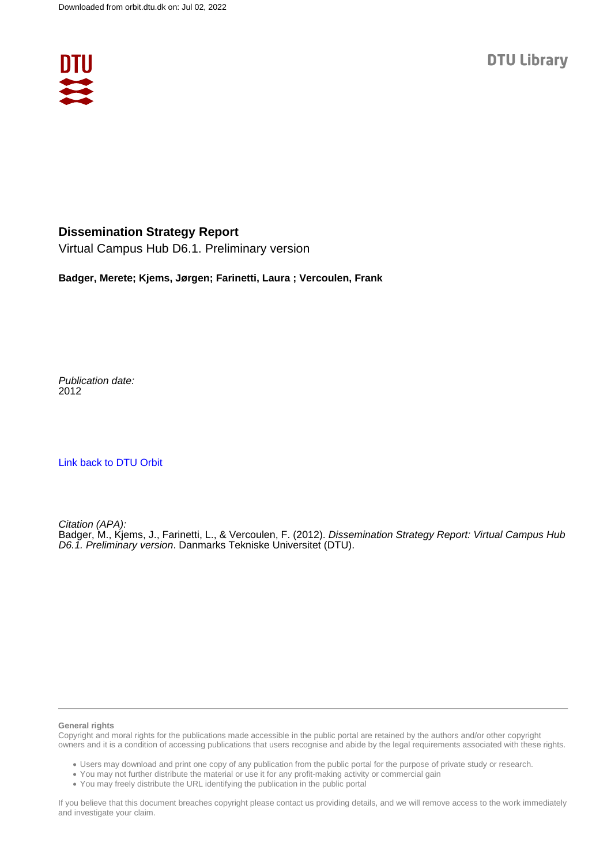

#### **Dissemination Strategy Report**

Virtual Campus Hub D6.1. Preliminary version

**Badger, Merete; Kjems, Jørgen; Farinetti, Laura ; Vercoulen, Frank**

Publication date: 2012

[Link back to DTU Orbit](https://orbit.dtu.dk/en/publications/471a0b94-f90e-4d84-823b-bac857d018a1)

Citation (APA): Badger, M., Kjems, J., Farinetti, L., & Vercoulen, F. (2012). Dissemination Strategy Report: Virtual Campus Hub D6.1. Preliminary version. Danmarks Tekniske Universitet (DTU).

#### **General rights**

Copyright and moral rights for the publications made accessible in the public portal are retained by the authors and/or other copyright owners and it is a condition of accessing publications that users recognise and abide by the legal requirements associated with these rights.

Users may download and print one copy of any publication from the public portal for the purpose of private study or research.

- You may not further distribute the material or use it for any profit-making activity or commercial gain
- You may freely distribute the URL identifying the publication in the public portal

If you believe that this document breaches copyright please contact us providing details, and we will remove access to the work immediately and investigate your claim.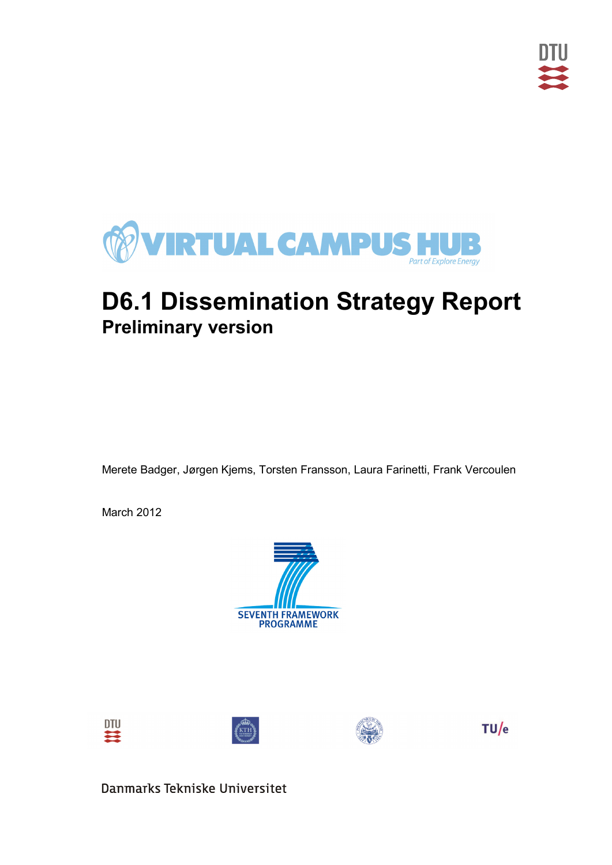

# **D6.1 Dissemination Strategy Report Preliminary version**

Merete Badger, Jørgen Kjems, Torsten Fransson, Laura Farinetti, Frank Vercoulen

March 2012









 $TU/e$ 

Danmarks Tekniske Universitet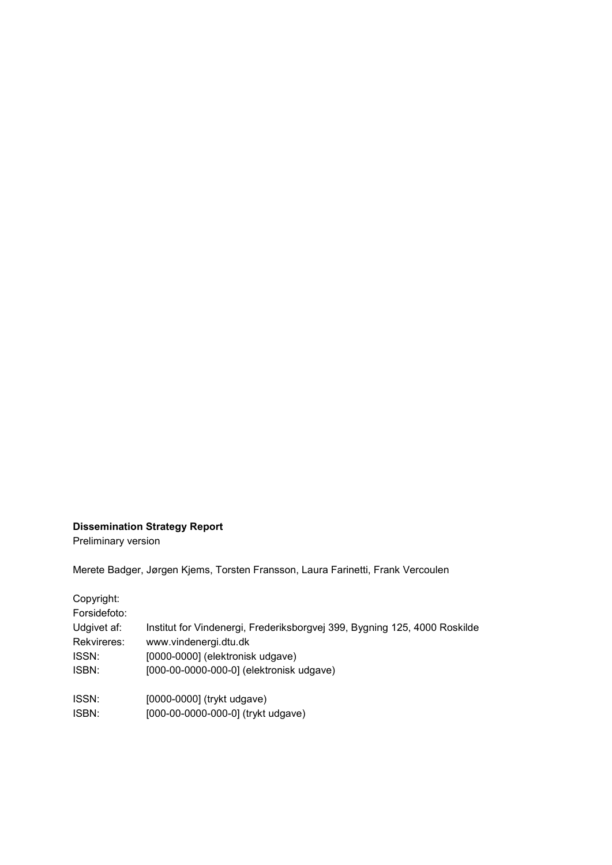#### **Dissemination Strategy Report**

Preliminary version

Merete Badger, Jørgen Kjems, Torsten Fransson, Laura Farinetti, Frank Vercoulen

Copyright:

| Forsidefoto: |                                                                           |
|--------------|---------------------------------------------------------------------------|
| Udgivet af:  | Institut for Vindenergi, Frederiksborgvej 399, Bygning 125, 4000 Roskilde |
| Rekvireres:  | www.vindenergi.dtu.dk                                                     |
| ISSN:        | [0000-0000] (elektronisk udgave)                                          |
| ISBN:        | [000-00-0000-000-0] (elektronisk udgave)                                  |
| ISSN:        | [0000-0000] (trykt udgave)                                                |
| ISBN:        | [000-00-0000-000-0] (trykt udgave)                                        |
|              |                                                                           |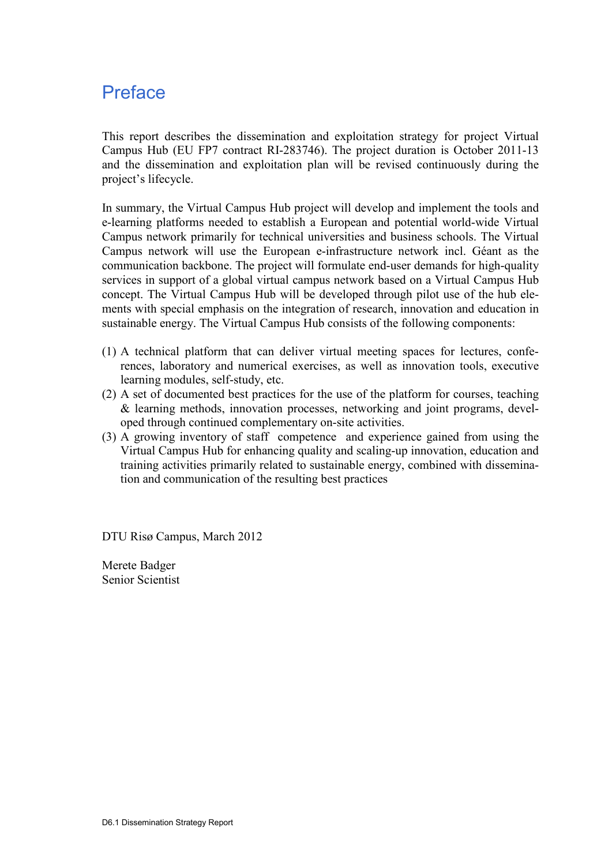### Preface

This report describes the dissemination and exploitation strategy for project Virtual Campus Hub (EU FP7 contract RI-283746). The project duration is October 2011-13 and the dissemination and exploitation plan will be revised continuously during the project's lifecycle.

In summary, the Virtual Campus Hub project will develop and implement the tools and e-learning platforms needed to establish a European and potential world-wide Virtual Campus network primarily for technical universities and business schools. The Virtual Campus network will use the European e-infrastructure network incl. Géant as the communication backbone. The project will formulate end-user demands for high-quality services in support of a global virtual campus network based on a Virtual Campus Hub concept. The Virtual Campus Hub will be developed through pilot use of the hub elements with special emphasis on the integration of research, innovation and education in sustainable energy. The Virtual Campus Hub consists of the following components:

- (1) A technical platform that can deliver virtual meeting spaces for lectures, conferences, laboratory and numerical exercises, as well as innovation tools, executive learning modules, self-study, etc.
- (2) A set of documented best practices for the use of the platform for courses, teaching & learning methods, innovation processes, networking and joint programs, developed through continued complementary on-site activities.
- (3) A growing inventory of staff competence and experience gained from using the Virtual Campus Hub for enhancing quality and scaling-up innovation, education and training activities primarily related to sustainable energy, combined with dissemination and communication of the resulting best practices

DTU Risø Campus, March 2012

Merete Badger Senior Scientist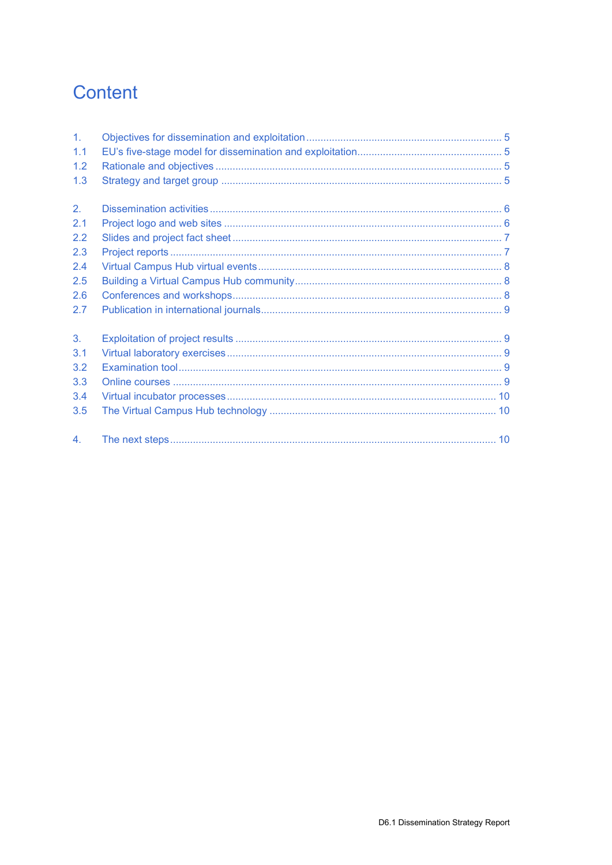## Content

| 1 <sub>1</sub> |  |
|----------------|--|
| 1.1            |  |
| 1.2            |  |
| 1.3            |  |
| 2.             |  |
| 2.1            |  |
| 2.2            |  |
| 2.3            |  |
| 2.4            |  |
| 2.5            |  |
| 2.6            |  |
| 2.7            |  |
| 3.             |  |
| 3.1            |  |
| 3.2            |  |
| 3.3            |  |
| 3.4            |  |
| 3.5            |  |
| 4 <sub>1</sub> |  |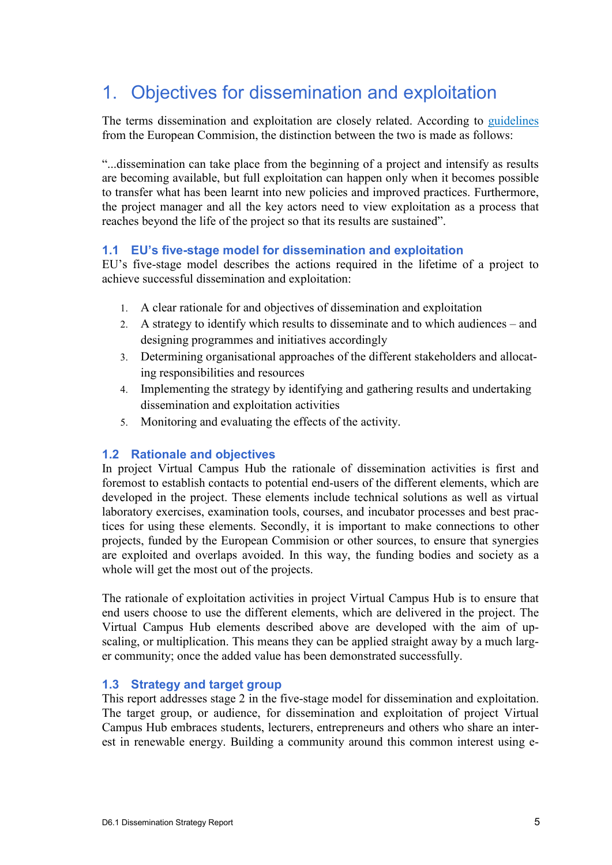### 1. Objectives for dissemination and exploitation

The terms dissemination and exploitation are closely related. According to [guidelines](http://ec.europa.eu/dgs/education_culture/valorisation/process_en.htm) from the European Commision, the distinction between the two is made as follows:

"...dissemination can take place from the beginning of a project and intensify as results are becoming available, but full exploitation can happen only when it becomes possible to transfer what has been learnt into new policies and improved practices. Furthermore, the project manager and all the key actors need to view exploitation as a process that reaches beyond the life of the project so that its results are sustained".

#### **1.1 EU's five-stage model for dissemination and exploitation**

EU's five-stage model describes the actions required in the lifetime of a project to achieve successful dissemination and exploitation:

- 1. A clear rationale for and objectives of dissemination and exploitation
- 2. A strategy to identify which results to disseminate and to which audiences and designing programmes and initiatives accordingly
- 3. Determining organisational approaches of the different stakeholders and allocating responsibilities and resources
- 4. Implementing the strategy by identifying and gathering results and undertaking dissemination and exploitation activities
- 5. Monitoring and evaluating the effects of the activity.

#### **1.2 Rationale and objectives**

In project Virtual Campus Hub the rationale of dissemination activities is first and foremost to establish contacts to potential end-users of the different elements, which are developed in the project. These elements include technical solutions as well as virtual laboratory exercises, examination tools, courses, and incubator processes and best practices for using these elements. Secondly, it is important to make connections to other projects, funded by the European Commision or other sources, to ensure that synergies are exploited and overlaps avoided. In this way, the funding bodies and society as a whole will get the most out of the projects.

The rationale of exploitation activities in project Virtual Campus Hub is to ensure that end users choose to use the different elements, which are delivered in the project. The Virtual Campus Hub elements described above are developed with the aim of upscaling, or multiplication. This means they can be applied straight away by a much larger community; once the added value has been demonstrated successfully.

#### **1.3 Strategy and target group**

This report addresses stage 2 in the five-stage model for dissemination and exploitation. The target group, or audience, for dissemination and exploitation of project Virtual Campus Hub embraces students, lecturers, entrepreneurs and others who share an interest in renewable energy. Building a community around this common interest using e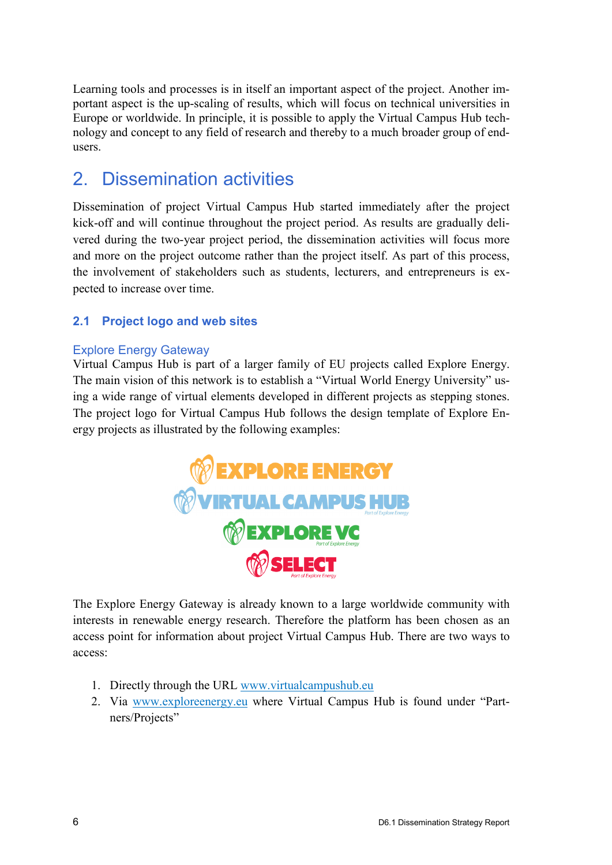Learning tools and processes is in itself an important aspect of the project. Another important aspect is the up-scaling of results, which will focus on technical universities in Europe or worldwide. In principle, it is possible to apply the Virtual Campus Hub technology and concept to any field of research and thereby to a much broader group of endusers.

### 2. Dissemination activities

Dissemination of project Virtual Campus Hub started immediately after the project kick-off and will continue throughout the project period. As results are gradually delivered during the two-year project period, the dissemination activities will focus more and more on the project outcome rather than the project itself. As part of this process, the involvement of stakeholders such as students, lecturers, and entrepreneurs is expected to increase over time.

#### **2.1 Project logo and web sites**

#### Explore Energy Gateway

Virtual Campus Hub is part of a larger family of EU projects called [Explore Energy.](http://www.exploreenergy.eu/) The main vision of this network is to establish a "Virtual World Energy University" using a wide range of virtual elements developed in different projects as stepping stones. The project logo for Virtual Campus Hub follows the design template of Explore Energy projects as illustrated by the following examples:



The Explore Energy Gateway is already known to a large worldwide community with interests in renewable energy research. Therefore the platform has been chosen as an access point for information about project Virtual Campus Hub. There are two ways to access:

- 1. Directly through the URL [www.virtualcampushub.eu](http://www.virtualcampushub.eu/)
- 2. Via [www.exploreenergy.eu](http://www.exploreenergy.eu/) where Virtual Campus Hub is found under "Partners/Projects"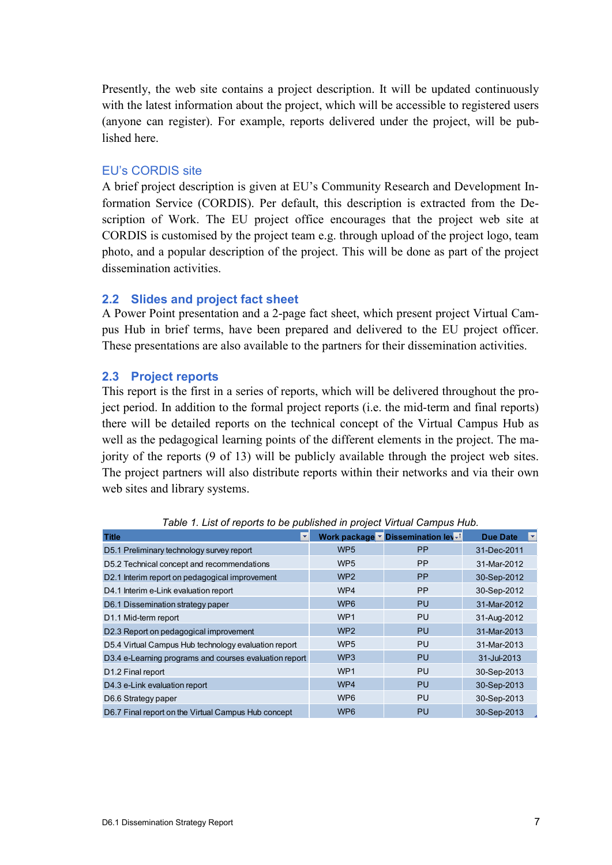Presently, the web site contains a project description. It will be updated continuously with the latest information about the project, which will be accessible to registered users (anyone can register). For example, reports delivered under the project, will be published here.

#### EU's CORDIS site

A brief project description is given at EU's Community Research and Development Information Service (CORDIS). Per default, this description is extracted from the Description of Work. The EU project office encourages that the project web site at CORDIS is customised by the project team e.g. through upload of the project logo, team photo, and a popular description of the project. This will be done as part of the project dissemination activities.

#### **2.2 Slides and project fact sheet**

A Power Point presentation and a 2-page fact sheet, which present project Virtual Campus Hub in brief terms, have been prepared and delivered to the EU project officer. These presentations are also available to the partners for their dissemination activities.

#### **2.3 Project reports**

This report is the first in a series of reports, which will be delivered throughout the project period. In addition to the formal project reports (i.e. the mid-term and final reports) there will be detailed reports on the technical concept of the Virtual Campus Hub as well as the pedagogical learning points of the different elements in the project. The majority of the reports (9 of 13) will be publicly available through the project web sites. The project partners will also distribute reports within their networks and via their own web sites and library systems.

| <b>Title</b><br>÷                                      |                 | Work package v Dissemination lev-1 | <b>Due Date</b><br>۰ |
|--------------------------------------------------------|-----------------|------------------------------------|----------------------|
| D5.1 Preliminary technology survey report              | WP <sub>5</sub> | <b>PP</b>                          | 31-Dec-2011          |
| D5.2 Technical concept and recommendations             | WP <sub>5</sub> | <b>PP</b>                          | 31-Mar-2012          |
| D2.1 Interim report on pedagogical improvement         | WP <sub>2</sub> | <b>PP</b>                          | 30-Sep-2012          |
| D4.1 Interim e-Link evaluation report                  | WP4             | <b>PP</b>                          | 30-Sep-2012          |
| D6.1 Dissemination strategy paper                      | WP <sub>6</sub> | PU                                 | 31-Mar-2012          |
| D <sub>1.1</sub> Mid-term report                       | WP <sub>1</sub> | PU                                 | 31-Aug-2012          |
| D2.3 Report on pedagogical improvement                 | WP <sub>2</sub> | PU                                 | 31-Mar-2013          |
| D5.4 Virtual Campus Hub technology evaluation report   | WP <sub>5</sub> | PU                                 | 31-Mar-2013          |
| D3.4 e-Learning programs and courses evaluation report | WP <sub>3</sub> | PU                                 | 31-Jul-2013          |
| D <sub>1.2</sub> Final report                          | WP <sub>1</sub> | PU                                 | 30-Sep-2013          |
| D4.3 e-Link evaluation report                          | WP4             | PU                                 | 30-Sep-2013          |
| D6.6 Strategy paper                                    | WP <sub>6</sub> | <b>PU</b>                          | 30-Sep-2013          |
| D6.7 Final report on the Virtual Campus Hub concept    | WP <sub>6</sub> | PU                                 | 30-Sep-2013          |

*Table 1. List of reports to be published in project Virtual Campus Hub.*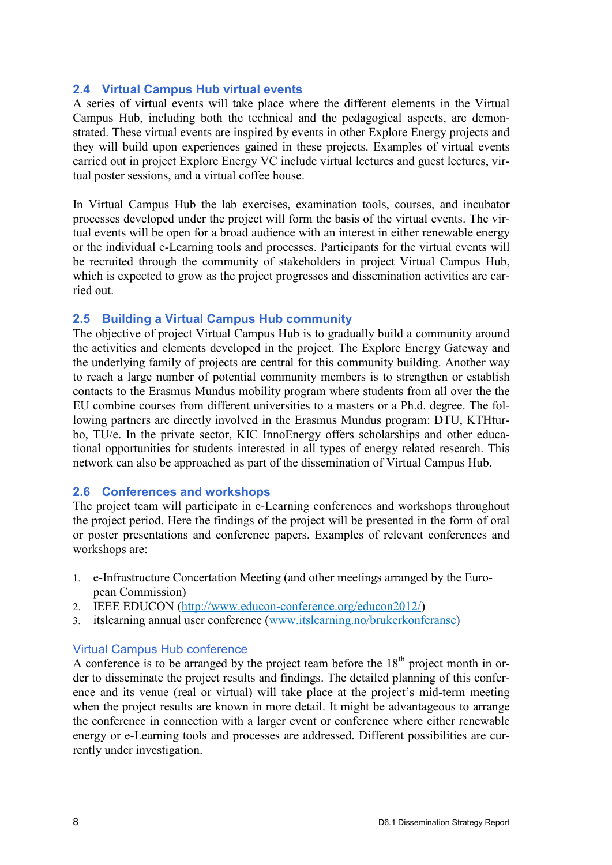#### **2.4 Virtual Campus Hub virtual events**

A series of virtual events will take place where the different elements in the Virtual Campus Hub, including both the technical and the pedagogical aspects, are demonstrated. These virtual events are inspired by events in other Explore Energy projects and they will build upon experiences gained in these projects. Examples of virtual events carried out in project Explore Energy VC include virtual lectures and guest lectures, virtual poster sessions, and a virtual coffee house.

In Virtual Campus Hub the lab exercises, examination tools, courses, and incubator processes developed under the project will form the basis of the virtual events. The virtual events will be open for a broad audience with an interest in either renewable energy or the individual e-Learning tools and processes. Participants for the virtual events will be recruited through the community of stakeholders in project Virtual Campus Hub, which is expected to grow as the project progresses and dissemination activities are carried out.

#### **2.5 Building a Virtual Campus Hub community**

The objective of project Virtual Campus Hub is to gradually build a community around the activities and elements developed in the project. The Explore Energy Gateway and the underlying family of projects are central for this community building. Another way to reach a large number of potential community members is to strengthen or establish contacts to the Erasmus Mundus mobility program where students from all over the the EU combine courses from different universities to a masters or a Ph.d. degree. The following partners are directly involved in the Erasmus Mundus program: DTU, KTHturbo, TU/e. In the private sector, KIC InnoEnergy offers scholarships and other educational opportunities for students interested in all types of energy related research. This network can also be approached as part of the dissemination of Virtual Campus Hub.

#### **2.6 Conferences and workshops**

The project team will participate in e-Learning conferences and workshops throughout the project period. Here the findings of the project will be presented in the form of oral or poster presentations and conference papers. Examples of relevant conferences and workshops are:

- 1. e-Infrastructure Concertation Meeting (and other meetings arranged by the European Commission)
- 2. IEEE EDUCON [\(http://www.educon-conference.org/educon2012/\)](http://www.educon-conference.org/educon2012/)
- 3. itslearning annual user conference [\(www.itslearning.no/brukerkonferanse\)](http://www.itslearning.no/brukerkonferanse)

#### Virtual Campus Hub conference

A conference is to be arranged by the project team before the  $18<sup>th</sup>$  project month in order to disseminate the project results and findings. The detailed planning of this conference and its venue (real or virtual) will take place at the project's mid-term meeting when the project results are known in more detail. It might be advantageous to arrange the conference in connection with a larger event or conference where either renewable energy or e-Learning tools and processes are addressed. Different possibilities are currently under investigation.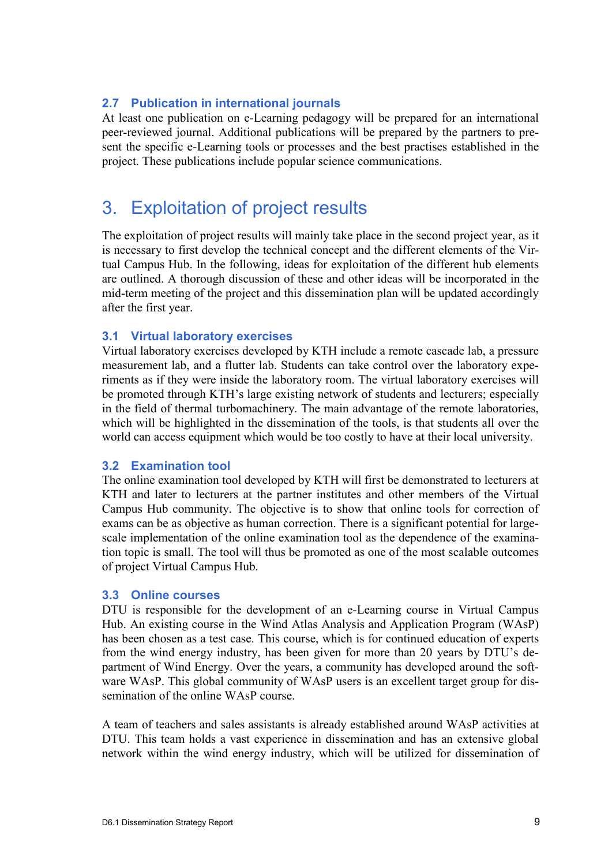#### **2.7 Publication in international journals**

At least one publication on e-Learning pedagogy will be prepared for an international peer-reviewed journal. Additional publications will be prepared by the partners to present the specific e-Learning tools or processes and the best practises established in the project. These publications include popular science communications.

### 3. Exploitation of project results

The exploitation of project results will mainly take place in the second project year, as it is necessary to first develop the technical concept and the different elements of the Virtual Campus Hub. In the following, ideas for exploitation of the different hub elements are outlined. A thorough discussion of these and other ideas will be incorporated in the mid-term meeting of the project and this dissemination plan will be updated accordingly after the first year.

#### **3.1 Virtual laboratory exercises**

Virtual laboratory exercises developed by KTH include a remote cascade lab, a pressure measurement lab, and a flutter lab. Students can take control over the laboratory experiments as if they were inside the laboratory room. The virtual laboratory exercises will be promoted through KTH's large existing network of students and lecturers; especially in the field of thermal turbomachinery. The main advantage of the remote laboratories, which will be highlighted in the dissemination of the tools, is that students all over the world can access equipment which would be too costly to have at their local university.

#### **3.2 Examination tool**

The online examination tool developed by KTH will first be demonstrated to lecturers at KTH and later to lecturers at the partner institutes and other members of the Virtual Campus Hub community. The objective is to show that online tools for correction of exams can be as objective as human correction. There is a significant potential for largescale implementation of the online examination tool as the dependence of the examination topic is small. The tool will thus be promoted as one of the most scalable outcomes of project Virtual Campus Hub.

#### **3.3 Online courses**

DTU is responsible for the development of an e-Learning course in Virtual Campus Hub. An existing course in the Wind Atlas Analysis and Application Program (WAsP) has been chosen as a test case. This course, which is for continued education of experts from the wind energy industry, has been given for more than 20 years by DTU's department of Wind Energy. Over the years, a community has developed around the software WAsP. This global community of WAsP users is an excellent target group for dissemination of the online WAsP course.

A team of teachers and sales assistants is already established around WAsP activities at DTU. This team holds a vast experience in dissemination and has an extensive global network within the wind energy industry, which will be utilized for dissemination of